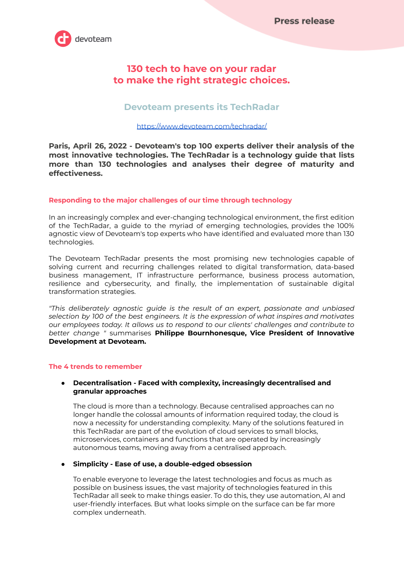

# **130 tech to have on your radar to make the right strategic choices.**

# **Devoteam presents its TechRadar**

## <https://www.devoteam.com/techradar/>

**Paris, April 26, 2022 - Devoteam's top 100 experts deliver their analysis of the most innovative technologies. The TechRadar is a technology guide that lists more than 130 technologies and analyses their degree of maturity and effectiveness.**

## **Responding to the major challenges of our time through technology**

In an increasingly complex and ever-changing technological environment, the first edition of the TechRadar, a guide to the myriad of emerging technologies, provides the 100% agnostic view of Devoteam's top experts who have identified and evaluated more than 130 technologies.

The Devoteam TechRadar presents the most promising new technologies capable of solving current and recurring challenges related to digital transformation, data-based business management, IT infrastructure performance, business process automation, resilience and cybersecurity, and finally, the implementation of sustainable digital transformation strategies.

*"This deliberately agnostic guide is the result of an expert, passionate and unbiased selection by 100 of the best engineers. It is the expression of what inspires and motivates our employees today. It allows us to respond to our clients' challenges and contribute to better change "* summarises **Philippe Bournhonesque, Vice President of Innovative Development at Devoteam.**

## **The 4 trends to remember**

## ● **Decentralisation - Faced with complexity, increasingly decentralised and granular approaches**

The cloud is more than a technology. Because centralised approaches can no longer handle the colossal amounts of information required today, the cloud is now a necessity for understanding complexity. Many of the solutions featured in this TechRadar are part of the evolution of cloud services to small blocks, microservices, containers and functions that are operated by increasingly autonomous teams, moving away from a centralised approach.

## ● **Simplicity - Ease of use, a double-edged obsession**

To enable everyone to leverage the latest technologies and focus as much as possible on business issues, the vast majority of technologies featured in this TechRadar all seek to make things easier. To do this, they use automation, AI and user-friendly interfaces. But what looks simple on the surface can be far more complex underneath.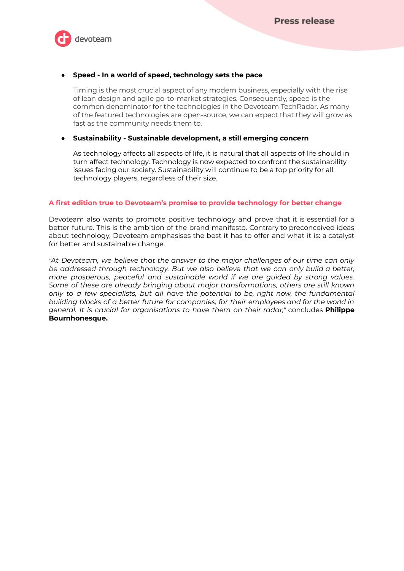

## ● **Speed - In a world of speed, technology sets the pace**

Timing is the most crucial aspect of any modern business, especially with the rise of lean design and agile go-to-market strategies. Consequently, speed is the common denominator for the technologies in the Devoteam TechRadar. As many of the featured technologies are open-source, we can expect that they will grow as fast as the community needs them to.

## ● **Sustainability - Sustainable development, a still emerging concern**

As technology affects all aspects of life, it is natural that all aspects of life should in turn affect technology. Technology is now expected to confront the sustainability issues facing our society. Sustainability will continue to be a top priority for all technology players, regardless of their size.

## **A first edition true to Devoteam's promise to provide technology for better change**

Devoteam also wants to promote positive technology and prove that it is essential for a better future. This is the ambition of the brand manifesto. Contrary to preconceived ideas about technology, Devoteam emphasises the best it has to offer and what it is: a catalyst for better and sustainable change.

*"At Devoteam, we believe that the answer to the major challenges of our time can only be addressed through technology. But we also believe that we can only build a better, more prosperous, peaceful and sustainable world if we are guided by strong values. Some of these are already bringing about major transformations, others are still known only to a few specialists, but all have the potential to be, right now, the fundamental building blocks of a better future for companies, for their employees and for the world in general. It is crucial for organisations to have them on their radar,"* concludes **Philippe Bournhonesque.**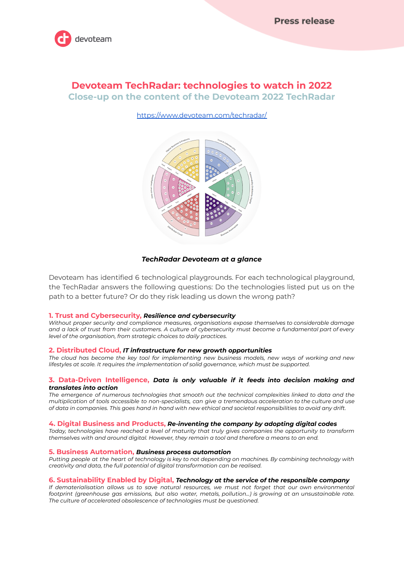

# **Devoteam TechRadar: technologies to watch in 2022 Close-up on the content of the Devoteam 2022 TechRadar**

## <https://www.devoteam.com/techradar/>



#### *TechRadar Devoteam at a glance*

Devoteam has identified 6 technological playgrounds. For each technological playground, the TechRadar answers the following questions: Do the technologies listed put us on the path to a better future? Or do they risk leading us down the wrong path?

#### **1. Trust and Cybersecurity,** *Resilience and cybersecurity*

*Without proper security and compliance measures, organisations expose themselves to considerable damage* and a lack of trust from their customers. A culture of cybersecurity must become a fundamental part of every *level of the organisation, from strategic choices to daily practices.*

#### **2. Distributed Cloud,** *IT infrastructure for new growth opportunities*

The cloud has become the key tool for implementing new business models, new ways of working and new *lifestyles at scale. It requires the implementation of solid governance, which must be supported.*

#### **3. Data-Driven Intelligence,** *Data is only valuable if it feeds into decision making and translates into action*

*The emergence of numerous technologies that smooth out the technical complexities linked to data and the multiplication of tools accessible to non-specialists, can give a tremendous acceleration to the culture and use* of data in companies. This goes hand in hand with new ethical and societal responsibilities to avoid any drift.

#### **4. Digital Business and Products,** *Re-inventing the company by adopting digital codes*

*Today, technologies have reached a level of maturity that truly gives companies the opportunity to transform themselves with and around digital. However, they remain a tool and therefore a means to an end.*

#### **5. Business Automation,** *Business process automation*

Putting people at the heart of technology is key to not depending on machines. By combining technology with *creativity and data, the full potential of digital transformation can be realised.*

#### **6. Sustainability Enabled by Digital,** *Technology at the service of the responsible company*

*If dematerialisation allows us to save natural resources, we must not forget that our own environmental footprint (greenhouse gas emissions, but also water, metals, pollution...) is growing at an unsustainable rate. The culture of accelerated obsolescence of technologies must be questioned.*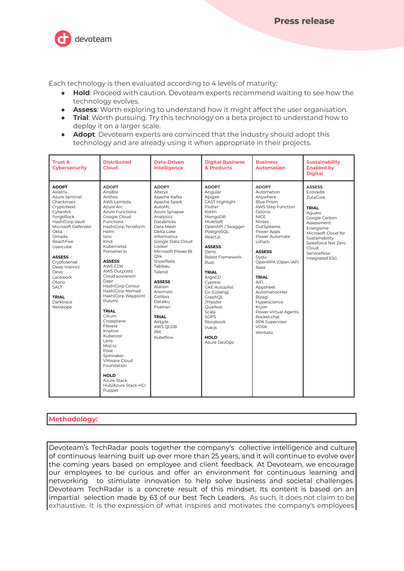devoteam

Each technology is then evaluated according to 4 levels of maturity:

- **Hold**: Proceed with caution. Devoteam experts recommend waiting to see how the technology evolves.
- **Assess**: Worth exploring to understand how it might affect the user organisation.
- **Trial**: Worth pursuing. Try this technology on a beta project to understand how to deploy it on a larger scale.
- **Adopt**: Devoteam experts are convinced that the industry should adopt this technology and are already using it when appropriate in their projects.

| <b>Trust &amp;</b><br><b>Cybersecurity</b>                                                                                                                                                                                                                                                                               | <b>Distributed</b><br>Cloud                                                                                                                                                                                                                                                                                                                                                                                                                                                                                                                                                                        | <b>Data-Driven</b><br><b>Intelligence</b>                                                                                                                                                                                                                                                                                                                                                         | <b>Digital Business</b><br>& Products                                                                                                                                                                                                                                                                                                                                                                        | <b>Business</b><br><b>Automation</b>                                                                                                                                                                                                                                                                                                                                                                           | <b>Sustainability</b><br><b>Enabled by</b><br><b>Digital</b>                                                                                                                                                                |
|--------------------------------------------------------------------------------------------------------------------------------------------------------------------------------------------------------------------------------------------------------------------------------------------------------------------------|----------------------------------------------------------------------------------------------------------------------------------------------------------------------------------------------------------------------------------------------------------------------------------------------------------------------------------------------------------------------------------------------------------------------------------------------------------------------------------------------------------------------------------------------------------------------------------------------------|---------------------------------------------------------------------------------------------------------------------------------------------------------------------------------------------------------------------------------------------------------------------------------------------------------------------------------------------------------------------------------------------------|--------------------------------------------------------------------------------------------------------------------------------------------------------------------------------------------------------------------------------------------------------------------------------------------------------------------------------------------------------------------------------------------------------------|----------------------------------------------------------------------------------------------------------------------------------------------------------------------------------------------------------------------------------------------------------------------------------------------------------------------------------------------------------------------------------------------------------------|-----------------------------------------------------------------------------------------------------------------------------------------------------------------------------------------------------------------------------|
| <b>ADOPT</b><br>Aviatrix<br>Azure Sentinel<br>Checkmarx<br>CryptoNext<br>CyberArk<br>ForgeRock<br>HashiCorp Vault<br>Microsoft Defender<br>Okta<br>Omada<br><b>ReachFive</b><br>Usercube<br><b>ASSESS</b><br>Cryptosense<br>Deep Instinct<br>Devo<br>Lacework<br>Otorio<br>SALT<br><b>TRIAL</b><br>Darktrace<br>Netskope | <b>ADOPT</b><br>Ansible<br>Anthos<br>AWS Lambda<br>Azure Arc<br><b>Azure Functions</b><br>Google Cloud<br><b>Functions</b><br>HashiCorp Terraform<br>Helm<br><b>Istio</b><br>Kind<br>Kubernetes<br>Portainer.io<br><b>ASSESS</b><br>AWS CDK<br><b>AWS Outposts</b><br>Cloud souverain<br>Dapr<br>HashiCorp Consul<br>HashiCorp Nomad<br>HashiCorp Waypoint<br>Pulumi<br><b>TRIAL</b><br>Cilium<br>Crossplane<br>Flexera<br>Knative<br>Kubecost<br>Lens<br>Mist.io<br><b>Pixie</b><br>Spinnaker<br><b>VMware Cloud</b><br>Foundation<br><b>HOLD</b><br>Azure Stack<br>Hub/Azure Stack HCI<br>Puppet | <b>ADOPT</b><br>Altervx<br>Apache Kafka<br>Apache Spark<br><b>AutoML</b><br>Azure Synapse<br>Analytics<br>Databricks<br>Data Mesh<br>Delta Lake<br>Informatica<br>Google Data Cloud<br>Looker<br>Microsoft Power BI<br>Olik<br>Snowflake<br>Tableau<br>Talend<br><b>ASSESS</b><br>Alation<br>Anomalo<br>Collibra<br>Dataiku<br>Fivetran<br><b>TRIAL</b><br>Airbyte<br>AWS OLDB<br>dbt<br>Kubeflow | <b>ADOPT</b><br>Angular<br>Apigee<br><b>CAST Highlight</b><br>Flutter<br>Kotlin<br>MongoDB<br>MuleSoft<br>OpenAPI / Swagger<br>PostgreSQL<br>React.is<br><b>ASSESS</b><br>Deno<br>Robot Framework<br><b>Rust</b><br><b>TRIAL</b><br>ArgoCD<br>Cypress<br><b>GKE Autopilot</b><br>Go (Golang)<br>GraphQL<br><b>JHipster</b><br>Ouarkus<br>Scala<br>SOPS<br>Storybook<br>Vue.js<br><b>HOLD</b><br>Azure DevOps | <b>ADOPT</b><br>Automation<br>Anvwhere<br><b>Blue Prism</b><br>AWS Step Function<br>Celonis<br><b>NICE</b><br>Nintex<br>OutSystems<br>Power Apps<br>Power Automate<br><b>UiPath</b><br><b>ASSESS</b><br>Dvdu<br>OpenRPA (Open IAP)<br>Rasa<br>TRIAL<br>AiFi<br>Appsheet<br>AutomationHer<br>Bizagi<br>Hyperscience<br>Kryon<br>Power Virtual Agents<br>Rocket.chat<br>RPA Supervisor<br><b>VOSK</b><br>Workato | <b>ASSESS</b><br><b>FcoVadis</b><br>ZutaCore<br><b>TRIAL</b><br>Aquaro<br>Google Carbon<br>Assessment<br>Energisme<br>Microsoft Cloud for<br>Sustainability<br>Salesforce Net Zero<br>Cloud<br>ServiceNow<br>Integrated ESG |

## **Methodology:**

Devoteam's TechRadar pools together the company's collective intelligence and culture of continuous learning built up over more than 25 years, and it will continue to evolve over the coming years based on employee and client feedback. At Devoteam, we encourage our employees to be curious and offer an environment for continuous learning and networking to stimulate innovation to help solve business and societal challenges. Devoteam TechRadar is a concrete result of this mindset. Its content is based on an impartial selection made by 63 of our best Tech Leaders. As such, it does not claim to be exhaustive. It is the expression of what inspires and motivates the company's employees